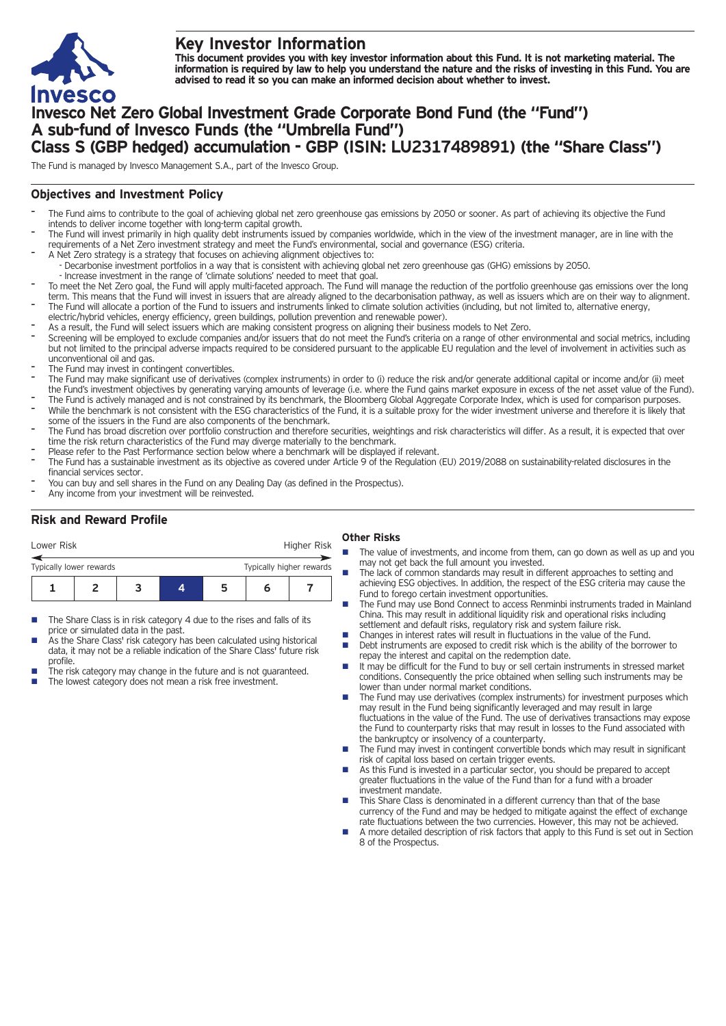

# **Key Investor Information**

This document provides you with key investor information about this Fund. It is not marketing material. The information is required by law to help you understand the nature and the risks of investing in this Fund. You are **advised to read it so you can make an informed decision about whether to invest.**

# **Invesco Net Zero Global Investment Grade Corporate Bond Fund (the "Fund") A sub-fund of Invesco Funds (the "Umbrella Fund") Class S (GBP hedged) accumulation - GBP (ISIN: LU2317489891) (the "Share Class")**

The Fund is managed by Invesco Management S.A., part of the Invesco Group.

## **Objectives and Investment Policy**

- The Fund aims to contribute to the goal of achieving global net zero greenhouse gas emissions by 2050 or sooner. As part of achieving its objective the Fund intends to deliver income together with long-term capital growth.
- The Fund will invest primarily in high quality debt instruments issued by companies worldwide, which in the view of the investment manager, are in line with the requirements of a Net Zero investment strategy and meet the Fund's environmental, social and governance (ESG) criteria.
- A Net Zero strategy is a strategy that focuses on achieving alignment objectives to: - Decarbonise investment portfolios in a way that is consistent with achieving global net zero greenhouse gas (GHG) emissions by 2050.
- Increase investment in the range of 'climate solutions' needed to meet that goal.
- To meet the Net Zero goal, the Fund will apply multi-faceted approach. The Fund will manage the reduction of the portfolio greenhouse gas emissions over the long term. This means that the Fund will invest in issuers that are already aligned to the decarbonisation pathway, as well as issuers which are on their way to alignment. The Fund will allocate a portion of the Fund to issuers and instruments linked to climate solution activities (including, but not limited to, alternative energy,
- electric/hybrid vehicles, energy efficiency, green buildings, pollution prevention and renewable power).
- As a result, the Fund will select issuers which are making consistent progress on aligning their business models to Net Zero.
- Screening will be employed to exclude companies and/or issuers that do not meet the Fund's criteria on a range of other environmental and social metrics, including but not limited to the principal adverse impacts required to be considered pursuant to the applicable EU regulation and the level of involvement in activities such as unconventional oil and gas.
- The Fund may invest in contingent convertibles.
- The Fund may make significant use of derivatives (complex instruments) in order to (i) reduce the risk and/or generate additional capital or income and/or (ii) meet the Fund's investment objectives by generating varying amounts of leverage (i.e. where the Fund gains market exposure in excess of the net asset value of the Fund).
- The Fund is actively managed and is not constrained by its benchmark, the Bloomberg Global Aggregate Corporate Index, which is used for comparison purposes. While the benchmark is not consistent with the ESG characteristics of the Fund, it is a suitable proxy for the wider investment universe and therefore it is likely that some of the issuers in the Fund are also components of the benchmark.
- The Fund has broad discretion over portfolio construction and therefore securities, weightings and risk characteristics will differ. As a result, it is expected that over time the risk return characteristics of the Fund may diverge materially to the benchmark.
- Please refer to the Past Performance section below where a benchmark will be displayed if relevant.
- The Fund has a sustainable investment as its objective as covered under Article 9 of the Regulation (EU) 2019/2088 on sustainability-related disclosures in the financial services sector.
- You can buy and sell shares in the Fund on any Dealing Day (as defined in the Prospectus).
- Any income from your investment will be reinvested.

## **Risk and Reward Profile**

| Lower Risk              |  |                          |   | Higher Risk |  |
|-------------------------|--|--------------------------|---|-------------|--|
| Typically lower rewards |  | Typically higher rewards |   |             |  |
|                         |  |                          | ∽ |             |  |

- The Share Class is in risk category 4 due to the rises and falls of its price or simulated data in the past.
- As the Share Class' risk category has been calculated using historical data, it may not be a reliable indication of the Share Class' future risk profile.
- The risk category may change in the future and is not guaranteed. The lowest category does not mean a risk free investment.

### **Other Risks**

- The value of investments, and income from them, can go down as well as up and you may not get back the full amount you invested.
- The lack of common standards may result in different approaches to setting and achieving ESG objectives. In addition, the respect of the ESG criteria may cause the Fund to forego certain investment opportunities.
- The Fund may use Bond Connect to access Renminbi instruments traded in Mainland China. This may result in additional liquidity risk and operational risks including settlement and default risks, regulatory risk and system failure risk.
- Changes in interest rates will result in fluctuations in the value of the Fund.<br>■ Debt instruments are exposed to credit risk which is the ability of the borre
- Debt instruments are exposed to credit risk which is the ability of the borrower to repay the interest and capital on the redemption date.
- $\blacksquare$  It may be difficult for the Fund to buy or sell certain instruments in stressed market conditions. Consequently the price obtained when selling such instruments may be lower than under normal market conditions.
- The Fund may use derivatives (complex instruments) for investment purposes which may result in the Fund being significantly leveraged and may result in large fluctuations in the value of the Fund. The use of derivatives transactions may expose the Fund to counterparty risks that may result in losses to the Fund associated with the bankruptcy or insolvency of a counterparty.
- The Fund may invest in contingent convertible bonds which may result in significant risk of capital loss based on certain trigger events.
- n As this Fund is invested in a particular sector, you should be prepared to accept greater fluctuations in the value of the Fund than for a fund with a broader investment mandate.
- This Share Class is denominated in a different currency than that of the base currency of the Fund and may be hedged to mitigate against the effect of exchange rate fluctuations between the two currencies. However, this may not be achieved.
- n A more detailed description of risk factors that apply to this Fund is set out in Section 8 of the Prospectus.